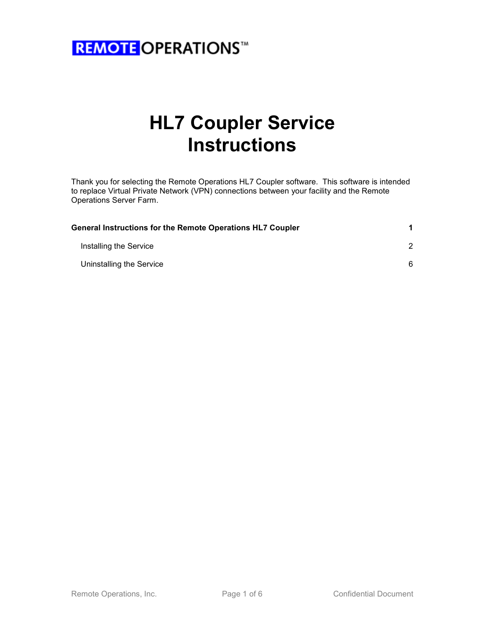

# HL7 Coupler Service Instructions

Thank you for selecting the Remote Operations HL7 Coupler software. This software is intended to replace Virtual Private Network (VPN) connections between your facility and the Remote Operations Server Farm.

| <b>General Instructions for the Remote Operations HL7 Coupler</b> |   |  |
|-------------------------------------------------------------------|---|--|
| Installing the Service                                            |   |  |
| Uninstalling the Service                                          | 6 |  |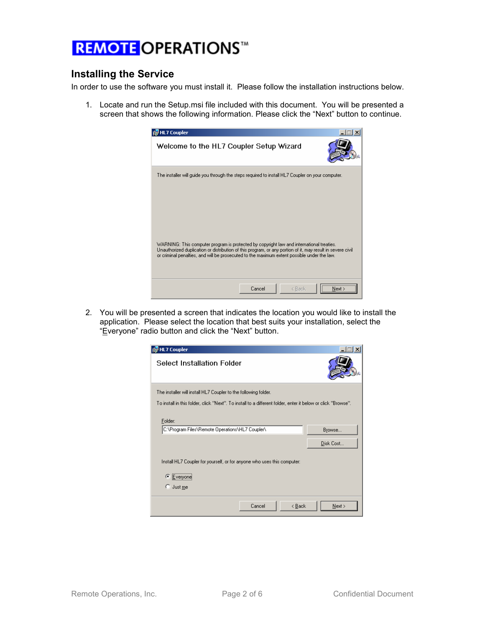#### Installing the Service

In order to use the software you must install it. Please follow the installation instructions below.

1. Locate and run the Setup.msi file included with this document. You will be presented a screen that shows the following information. Please click the "Next" button to continue.



2. You will be presented a screen that indicates the location you would like to install the application. Please select the location that best suits your installation, select the "Everyone" radio button and click the "Next" button.

| 得HL7 Coupler                                                                                                 |        |                            |                     |
|--------------------------------------------------------------------------------------------------------------|--------|----------------------------|---------------------|
| Select Installation Folder                                                                                   |        |                            |                     |
| The installer will install HL7 Coupler to the following folder.                                              |        |                            |                     |
| To install in this folder, click "Next". To install to a different folder, enter it below or click "Browse". |        |                            |                     |
| Folder:<br>C:\Program Files\Remote Operations\HL7 Coupler\                                                   |        |                            | Browse<br>Disk Cost |
| Install HL7 Coupler for yourself, or for anyone who uses this computer:                                      |        |                            |                     |
| G<br>Everyone                                                                                                |        |                            |                     |
| Just me<br>O                                                                                                 |        |                            |                     |
|                                                                                                              | Cancel | $\leq$ $\underline{B}$ ack | Next >              |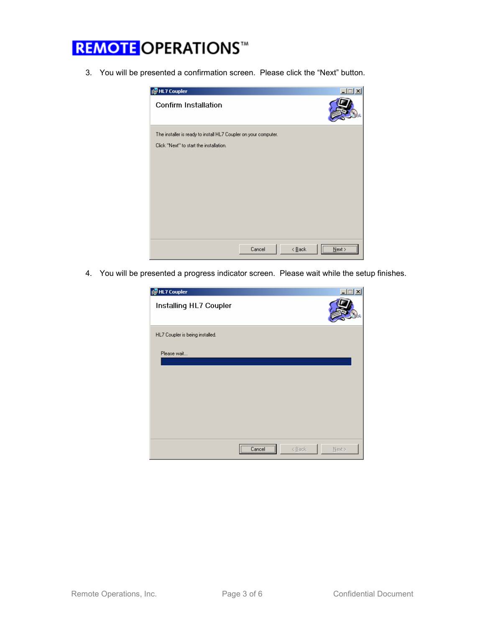3. You will be presented a confirmation screen. Please click the "Next" button.



4. You will be presented a progress indicator screen. Please wait while the setup finishes.

| <b>侵HL7 Coupler</b>             |                | $\Box$              |  |
|---------------------------------|----------------|---------------------|--|
| Installing HL7 Coupler          |                |                     |  |
| HL7 Coupler is being installed. |                |                     |  |
| Please wait                     |                |                     |  |
|                                 | <br>Cancel<br> | < Back<br>$N$ ext > |  |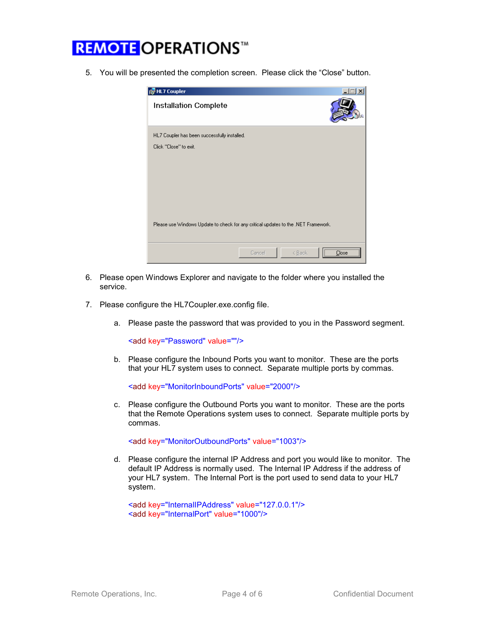5. You will be presented the completion screen. Please click the "Close" button.



- 6. Please open Windows Explorer and navigate to the folder where you installed the service.
- 7. Please configure the HL7Coupler.exe.config file.
	- a. Please paste the password that was provided to you in the Password segment.

<add key="Password" value=""/>

b. Please configure the Inbound Ports you want to monitor. These are the ports that your HL7 system uses to connect. Separate multiple ports by commas.

<add key="MonitorInboundPorts" value="2000"/>

c. Please configure the Outbound Ports you want to monitor. These are the ports that the Remote Operations system uses to connect. Separate multiple ports by commas.

<add key="MonitorOutboundPorts" value="1003"/>

d. Please configure the internal IP Address and port you would like to monitor. The default IP Address is normally used. The Internal IP Address if the address of your HL7 system. The Internal Port is the port used to send data to your HL7 system.

```
 <add key="InternalIPAddress" value="127.0.0.1"/> 
<add key="InternalPort" value="1000"/>
```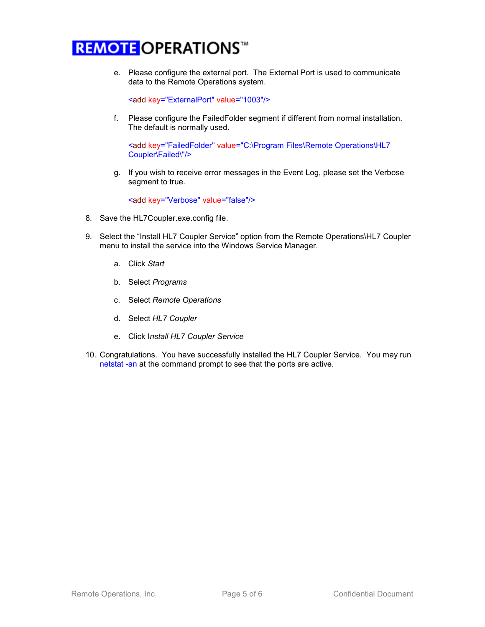e. Please configure the external port. The External Port is used to communicate data to the Remote Operations system.

<add key="ExternalPort" value="1003"/>

f. Please configure the FailedFolder segment if different from normal installation. The default is normally used.

<add key="FailedFolder" value="C:\Program Files\Remote Operations\HL7 Coupler\Failed\"/>

g. If you wish to receive error messages in the Event Log, please set the Verbose segment to true.

<add key="Verbose" value="false"/>

- 8. Save the HL7Coupler.exe.config file.
- 9. Select the "Install HL7 Coupler Service" option from the Remote Operations\HL7 Coupler menu to install the service into the Windows Service Manager.
	- a. Click Start
	- b. Select Programs
	- c. Select Remote Operations
	- d. Select HL7 Coupler
	- e. Click Install HL7 Coupler Service
- 10. Congratulations. You have successfully installed the HL7 Coupler Service. You may run netstat -an at the command prompt to see that the ports are active.